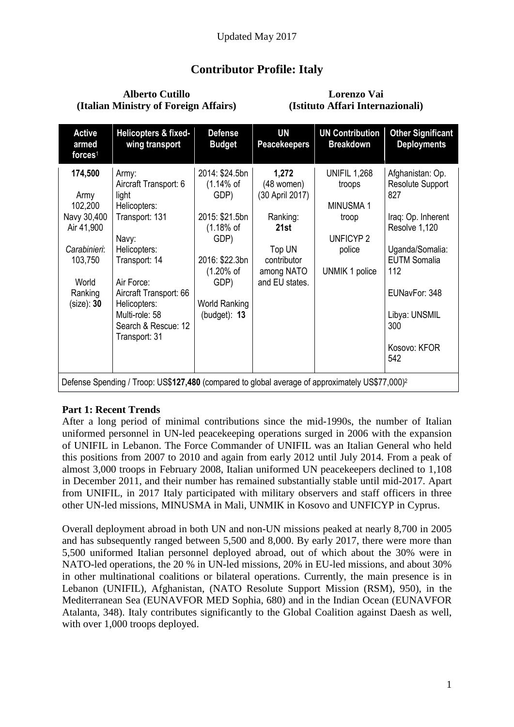# **Contributor Profile: Italy**

#### **Alberto Cutillo (Italian Ministry of Foreign Affairs)**

#### **Lorenzo Vai (Istituto Affari Internazionali)**

| <b>Active</b><br>armed<br>forces <sup>1</sup>                                                                               | Helicopters & fixed-<br>wing transport                                                                                                                                                                                                | <b>Defense</b><br><b>Budget</b>                                                                                                                                              | <b>UN</b><br><b>Peacekeepers</b>                                                                                    | <b>UN Contribution</b><br><b>Breakdown</b>                                                               | <b>Other Significant</b><br><b>Deployments</b>                                                                                                                                                             |
|-----------------------------------------------------------------------------------------------------------------------------|---------------------------------------------------------------------------------------------------------------------------------------------------------------------------------------------------------------------------------------|------------------------------------------------------------------------------------------------------------------------------------------------------------------------------|---------------------------------------------------------------------------------------------------------------------|----------------------------------------------------------------------------------------------------------|------------------------------------------------------------------------------------------------------------------------------------------------------------------------------------------------------------|
| 174,500<br>Army<br>102,200<br>Navy 30,400<br>Air 41,900<br>Carabinieri:<br>103,750<br>World<br>Ranking<br>(size): <b>30</b> | Army:<br>Aircraft Transport: 6<br>light<br>Helicopters:<br>Transport: 131<br>Navy:<br>Helicopters:<br>Transport: 14<br>Air Force:<br>Aircraft Transport: 66<br>Helicopters:<br>Multi-role: 58<br>Search & Rescue: 12<br>Transport: 31 | 2014: \$24.5bn<br>(1.14% of<br>GDP)<br>2015: \$21.5bn<br>$(1.18\% \text{ of }$<br>GDP)<br>2016: \$22.3bn<br>$(1.20\% \text{ of }$<br>GDP)<br>World Ranking<br>(budget): $13$ | 1,272<br>(48 women)<br>(30 April 2017)<br>Ranking:<br>21st<br>Top UN<br>contributor<br>among NATO<br>and EU states. | <b>UNIFIL 1,268</b><br>troops<br><b>MINUSMA1</b><br>troop<br><b>UNFICYP2</b><br>police<br>UNMIK 1 police | Afghanistan: Op.<br><b>Resolute Support</b><br>827<br>Iraq: Op. Inherent<br>Resolve 1,120<br>Uganda/Somalia:<br><b>EUTM Somalia</b><br>112<br>EUNavFor: 348<br>Libya: UNSMIL<br>300<br>Kosovo: KFOR<br>542 |
| Defense Spending / Troop: US\$127,480 (compared to global average of approximately US\$77,000) <sup>2</sup>                 |                                                                                                                                                                                                                                       |                                                                                                                                                                              |                                                                                                                     |                                                                                                          |                                                                                                                                                                                                            |

#### **Part 1: Recent Trends**

After a long period of minimal contributions since the mid-1990s, the number of Italian uniformed personnel in UN-led peacekeeping operations surged in 2006 with the expansion of UNIFIL in Lebanon. The Force Commander of UNIFIL was an Italian General who held this positions from 2007 to 2010 and again from early 2012 until July 2014. From a peak of almost 3,000 troops in February 2008, Italian uniformed UN peacekeepers declined to 1,108 in December 2011, and their number has remained substantially stable until mid-2017. Apart from UNIFIL, in 2017 Italy participated with military observers and staff officers in three other UN-led missions, MINUSMA in Mali, UNMIK in Kosovo and UNFICYP in Cyprus.

Overall deployment abroad in both UN and non-UN missions peaked at nearly 8,700 in 2005 and has subsequently ranged between 5,500 and 8,000. By early 2017, there were more than 5,500 uniformed Italian personnel deployed abroad, out of which about the 30% were in NATO-led operations, the 20 % in UN-led missions, 20% in EU-led missions, and about 30% in other multinational coalitions or bilateral operations. Currently, the main presence is in Lebanon (UNIFIL), Afghanistan, (NATO Resolute Support Mission (RSM), 950), in the Mediterranean Sea (EUNAVFOR MED Sophia, 680) and in the Indian Ocean (EUNAVFOR Atalanta, 348). Italy contributes significantly to the Global Coalition against Daesh as well, with over 1,000 troops deployed.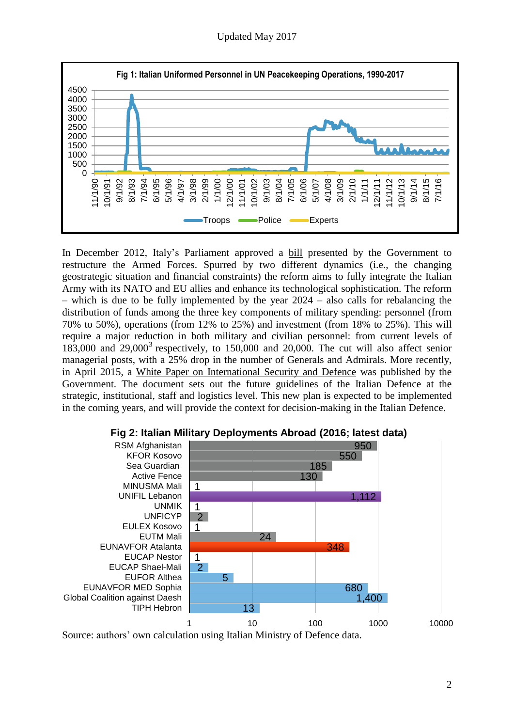Updated May 2017



In December 2012, Italy's Parliament approved a [bill](http://www.normattiva.it/uri-res/N2Ls?urn:nir:stato:legge:2012-12-31;244) presented by the Government to restructure the Armed Forces. Spurred by two different dynamics (i.e., the changing geostrategic situation and financial constraints) the reform aims to fully integrate the Italian Army with its NATO and EU allies and enhance its technological sophistication. The reform  $-$  which is due to be fully implemented by the year  $2024 -$  also calls for rebalancing the distribution of funds among the three key components of military spending: personnel (from 70% to 50%), operations (from 12% to 25%) and investment (from 18% to 25%). This will require a major reduction in both military and civilian personnel: from current levels of 183,000 and 29,000<sup>3</sup> respectively, to 150,000 and 20,000. The cut will also affect senior managerial posts, with a 25% drop in the number of Generals and Admirals. More recently, in April 2015, a White Paper on [International](http://www.difesa.it/Primo_Piano/Documents/2015/04_Aprile/LB_2015.pdf) Security and Defence was published by the Government. The document sets out the future guidelines of the Italian Defence at the strategic, institutional, staff and logistics level. This new plan is expected to be implemented in the coming years, and will provide the context for decision-making in the Italian Defence.



#### **Fig 2: Italian Military Deployments Abroad (2016; latest data)**

Source: authors' own calculation using Italian [Ministry](http://www.difesa.it/OperazioniMilitari/op_intern_corso/Pagine/Operazioni_int.aspx) of Defence data.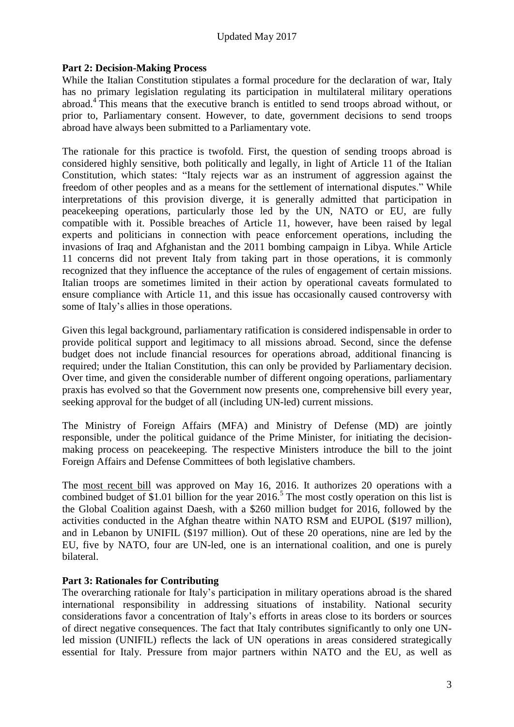### Updated May 2017

#### **Part 2: Decision-Making Process**

While the Italian Constitution stipulates a formal procedure for the declaration of war, Italy has no primary legislation regulating its participation in multilateral military operations abroad.<sup>4</sup> This means that the executive branch is entitled to send troops abroad without, or prior to, Parliamentary consent. However, to date, government decisions to send troops abroad have always been submitted to a Parliamentary vote.

The rationale for this practice is twofold. First, the question of sending troops abroad is considered highly sensitive, both politically and legally, in light of Article 11 of the Italian Constitution, which states: "Italy rejects war as an instrument of aggression against the freedom of other peoples and as a means for the settlement of international disputes." While interpretations of this provision diverge, it is generally admitted that participation in peacekeeping operations, particularly those led by the UN, NATO or EU, are fully compatible with it. Possible breaches of Article 11, however, have been raised by legal experts and politicians in connection with peace enforcement operations, including the invasions of Iraq and Afghanistan and the 2011 bombing campaign in Libya. While Article 11 concerns did not prevent Italy from taking part in those operations, it is commonly recognized that they influence the acceptance of the rules of engagement of certain missions. Italian troops are sometimes limited in their action by operational caveats formulated to ensure compliance with Article 11, and this issue has occasionally caused controversy with some of Italy's allies in those operations.

Given this legal background, parliamentary ratification is considered indispensable in order to provide political support and legitimacy to all missions abroad. Second, since the defense budget does not include financial resources for operations abroad, additional financing is required; under the Italian Constitution, this can only be provided by Parliamentary decision. Over time, and given the considerable number of different ongoing operations, parliamentary praxis has evolved so that the Government now presents one, comprehensive bill every year, seeking approval for the budget of all (including UN-led) current missions.

The Ministry of Foreign Affairs (MFA) and Ministry of Defense (MD) are jointly responsible, under the political guidance of the Prime Minister, for initiating the decisionmaking process on peacekeeping. The respective Ministers introduce the bill to the joint Foreign Affairs and Defense Committees of both legislative chambers.

The most [recent](http://www.gazzettaufficiale.it/eli/id/2016/05/16/16G00078/sg) bill was approved on May 16, 2016. It authorizes 20 operations with a combined budget of \$1.01 billion for the year 2016.<sup>5</sup> The most costly operation on this list is the Global Coalition against Daesh, with a \$260 million budget for 2016, followed by the activities conducted in the Afghan theatre within NATO RSM and EUPOL (\$197 million), and in Lebanon by UNIFIL (\$197 million). Out of these 20 operations, nine are led by the EU, five by NATO, four are UN-led, one is an international coalition, and one is purely bilateral.

#### **Part 3: Rationales for Contributing**

The overarching rationale for Italy's participation in military operations abroad is the shared international responsibility in addressing situations of instability. National security considerations favor a concentration of Italy's efforts in areas close to its borders or sources of direct negative consequences. The fact that Italy contributes significantly to only one UNled mission (UNIFIL) reflects the lack of UN operations in areas considered strategically essential for Italy. Pressure from major partners within NATO and the EU, as well as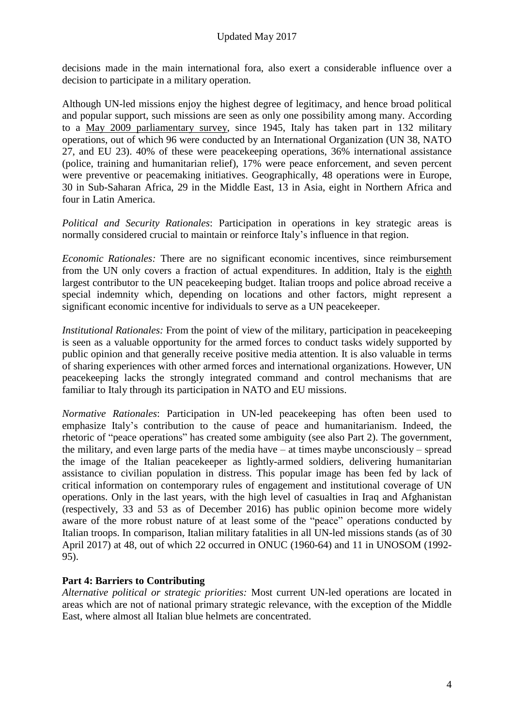decisions made in the main international fora, also exert a considerable influence over a decision to participate in a military operation.

Although UN-led missions enjoy the highest degree of legitimacy, and hence broad political and popular support, such missions are seen as only one possibility among many. According to a May 2009 [parliamentary](http://leg16.camera.it/561?appro=64&Il+quadro+delle+missioni+militari+dell) survey, since 1945, Italy has taken part in 132 military operations, out of which 96 were conducted by an International Organization (UN 38, NATO 27, and EU 23). 40% of these were peacekeeping operations, 36% international assistance (police, training and humanitarian relief), 17% were peace enforcement, and seven percent were preventive or peacemaking initiatives. Geographically, 48 operations were in Europe, 30 in Sub-Saharan Africa, 29 in the Middle East, 13 in Asia, eight in Northern Africa and four in Latin America.

*Political and Security Rationales*: Participation in operations in key strategic areas is normally considered crucial to maintain or reinforce Italy's influence in that region.

*Economic Rationales:* There are no significant economic incentives, since reimbursement from the UN only covers a fraction of actual expenditures. In addition, Italy is the [eighth](http://www.un.org/en/peacekeeping/operations/financing.shtml) largest contributor to the UN peacekeeping budget. Italian troops and police abroad receive a special indemnity which, depending on locations and other factors, might represent a significant economic incentive for individuals to serve as a UN peacekeeper.

*Institutional Rationales:* From the point of view of the military, participation in peacekeeping is seen as a valuable opportunity for the armed forces to conduct tasks widely supported by public opinion and that generally receive positive media attention. It is also valuable in terms of sharing experiences with other armed forces and international organizations. However, UN peacekeeping lacks the strongly integrated command and control mechanisms that are familiar to Italy through its participation in NATO and EU missions.

*Normative Rationales*: Participation in UN-led peacekeeping has often been used to emphasize Italy's contribution to the cause of peace and humanitarianism. Indeed, the rhetoric of "peace operations" has created some ambiguity (see also Part 2). The government, the military, and even large parts of the media have – at times maybe unconsciously – spread the image of the Italian peacekeeper as lightly-armed soldiers, delivering humanitarian assistance to civilian population in distress. This popular image has been fed by lack of critical information on contemporary rules of engagement and institutional coverage of UN operations. Only in the last years, with the high level of casualties in Iraq and Afghanistan (respectively, 33 and [53](http://qn.quotidiano.net/esteri/2013/06/08/901412-afghanistan-militari-morti-bilancio-isaf.shtml) as of December 2016) has public opinion become more widely aware of the more robust nature of at least some of the "peace" operations conducted by Italian troops. In comparison, Italian military fatalities in all UN-led missions stands (as of 30 April 2017) at 48, out of which 22 occurred in ONUC (1960-64) and 11 in UNOSOM (1992- 95).

#### **Part 4: Barriers to Contributing**

*Alternative political or strategic priorities:* Most current UN-led operations are located in areas which are not of national primary strategic relevance, with the exception of the Middle East, where almost all Italian blue helmets are concentrated.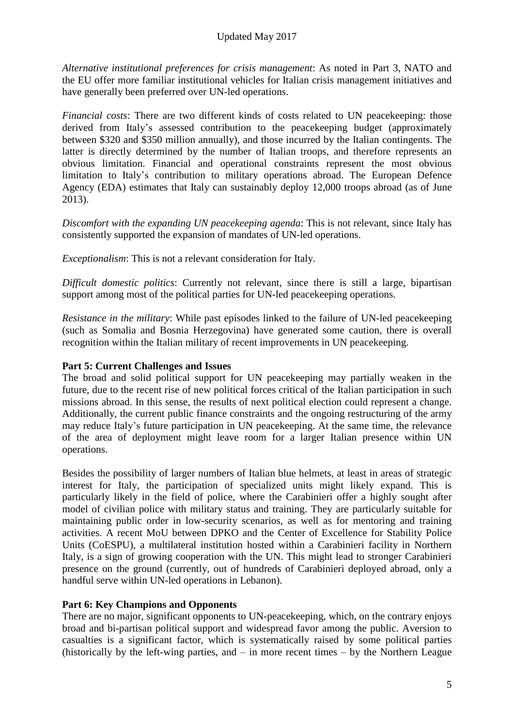*Alternative institutional preferences for crisis management*: As noted in Part 3, NATO and the EU offer more familiar institutional vehicles for Italian crisis management initiatives and have generally been preferred over UN-led operations.

*Financial costs:* There are two different kinds of costs related to UN peacekeeping: those derived from Italy's assessed contribution to the peacekeeping budget (approximately between \$320 and \$350 million annually), and those incurred by the Italian contingents. The latter is directly determined by the number of Italian troops, and therefore represents an obvious limitation. Financial and operational constraints represent the most obvious limitation to Italy's contribution to military operations abroad. The European Defence Agency (EDA) estimates that Italy can sustainably deploy 12,000 troops abroad (as of June 2013).

*Discomfort with the expanding UN peacekeeping agenda*: This is not relevant, since Italy has consistently supported the expansion of mandates of UN-led operations.

*Exceptionalism*: This is not a relevant consideration for Italy.

*Difficult domestic politics*: Currently not relevant, since there is still a large, bipartisan support among most of the political parties for UN-led peacekeeping operations.

*Resistance in the military*: While past episodes linked to the failure of UN-led peacekeeping (such as Somalia and Bosnia Herzegovina) have generated some caution, there is overall recognition within the Italian military of recent improvements in UN peacekeeping.

#### **Part 5: Current Challenges and Issues**

The broad and solid political support for UN peacekeeping may partially weaken in the future, due to the recent rise of new political forces critical of the Italian participation in such missions abroad. In this sense, the results of next political election could represent a change. Additionally, the current public finance constraints and the ongoing restructuring of the army may reduce Italy's future participation in UN peacekeeping. At the same time, the relevance of the area of deployment might leave room for a larger Italian presence within UN operations.

Besides the possibility of larger numbers of Italian blue helmets, at least in areas of strategic interest for Italy, the participation of specialized units might likely expand. This is particularly likely in the field of police, where the Carabinieri offer a highly sought after model of civilian police with military status and training. They are particularly suitable for maintaining public order in low-security scenarios, as well as for mentoring and training activities. A recent MoU between DPKO and the Center of Excellence for Stability Police Units (CoESPU), a multilateral institution hosted within a Carabinieri facility in Northern Italy, is a sign of growing cooperation with the UN. This might lead to stronger Carabinieri presence on the ground (currently, out of hundreds of Carabinieri deployed abroad, only a handful serve within UN-led operations in Lebanon).

#### **Part 6: Key Champions and Opponents**

There are no major, significant opponents to UN-peacekeeping, which, on the contrary enjoys broad and bi-partisan political support and widespread favor among the public. Aversion to casualties is a significant factor, which is systematically raised by some political parties (historically by the left-wing parties, and – in more recent times – by the Northern League